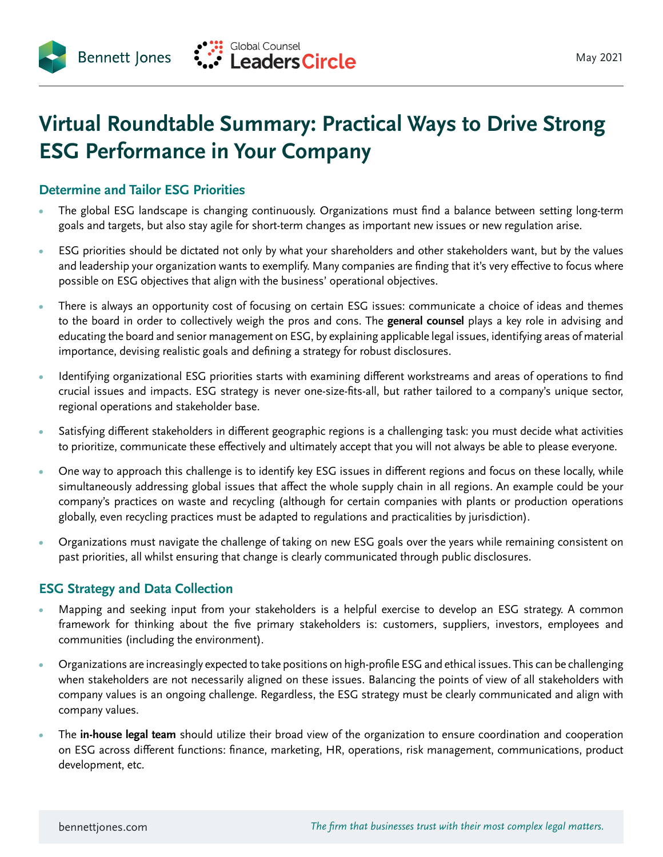

## **Virtual Roundtable Summary: Practical Ways to Drive Strong ESG Performance in Your Company**

## **Determine and Tailor ESG Priorities**

**Bennett Jones** 

- *•* The global ESG landscape is changing continuously. Organizations must find a balance between setting long-term goals and targets, but also stay agile for short-term changes as important new issues or new regulation arise.
- *•* ESG priorities should be dictated not only by what your shareholders and other stakeholders want, but by the values and leadership your organization wants to exemplify. Many companies are finding that it's very effective to focus where possible on ESG objectives that align with the business' operational objectives.
- *•* There is always an opportunity cost of focusing on certain ESG issues: communicate a choice of ideas and themes to the board in order to collectively weigh the pros and cons. The **general counsel** plays a key role in advising and educating the board and senior management on ESG, by explaining applicable legal issues, identifying areas of material importance, devising realistic goals and defining a strategy for robust disclosures.
- *•* Identifying organizational ESG priorities starts with examining different workstreams and areas of operations to find crucial issues and impacts. ESG strategy is never one-size-fits-all, but rather tailored to a company's unique sector, regional operations and stakeholder base.
- *•* Satisfying different stakeholders in different geographic regions is a challenging task: you must decide what activities to prioritize, communicate these effectively and ultimately accept that you will not always be able to please everyone.
- *•* One way to approach this challenge is to identify key ESG issues in different regions and focus on these locally, while simultaneously addressing global issues that affect the whole supply chain in all regions. An example could be your company's practices on waste and recycling (although for certain companies with plants or production operations globally, even recycling practices must be adapted to regulations and practicalities by jurisdiction).
- *•* Organizations must navigate the challenge of taking on new ESG goals over the years while remaining consistent on past priorities, all whilst ensuring that change is clearly communicated through public disclosures.

## **ESG Strategy and Data Collection**

- *•* Mapping and seeking input from your stakeholders is a helpful exercise to develop an ESG strategy. A common framework for thinking about the five primary stakeholders is: customers, suppliers, investors, employees and communities (including the environment).
- *•* Organizations are increasingly expected to take positions on high-profile ESG and ethical issues. This can be challenging when stakeholders are not necessarily aligned on these issues. Balancing the points of view of all stakeholders with company values is an ongoing challenge. Regardless, the ESG strategy must be clearly communicated and align with company values.
- *•* The **in-house legal team** should utilize their broad view of the organization to ensure coordination and cooperation on ESG across different functions: finance, marketing, HR, operations, risk management, communications, product development, etc.